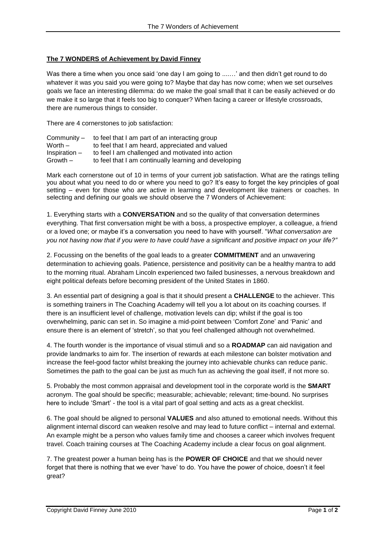## **The 7 WONDERS of Achievement by David Finney**

Was there a time when you once said 'one day I am going to .......' and then didn't get round to do whatever it was you said you were going to? Maybe that day has now come; when we set ourselves goals we face an interesting dilemma: do we make the goal small that it can be easily achieved or do we make it so large that it feels too big to conquer? When facing a career or lifestyle crossroads, there are numerous things to consider.

There are 4 cornerstones to job satisfaction:

| Community –     | to feel that I am part of an interacting group        |
|-----------------|-------------------------------------------------------|
| Worth $-$       | to feel that I am heard, appreciated and valued       |
| $Inspiration -$ | to feel I am challenged and motivated into action     |
| $Growth -$      | to feel that I am continually learning and developing |

Mark each cornerstone out of 10 in terms of your current job satisfaction. What are the ratings telling you about what you need to do or where you need to go? It's easy to forget the key principles of goal setting – even for those who are active in learning and development like trainers or coaches. In selecting and defining our goals we should observe the 7 Wonders of Achievement:

1. Everything starts with a **CONVERSATION** and so the quality of that conversation determines everything. That first conversation might be with a boss, a prospective employer, a colleague, a friend or a loved one; or maybe it's a conversation you need to have with yourself. "*What conversation are you not having now that if you were to have could have a significant and positive impact on your life?"*

2. Focussing on the benefits of the goal leads to a greater **COMMITMENT** and an unwavering determination to achieving goals. Patience, persistence and positivity can be a healthy mantra to add to the morning ritual. Abraham Lincoln experienced two failed businesses, a nervous breakdown and eight political defeats before becoming president of the United States in 1860.

3. An essential part of designing a goal is that it should present a **CHALLENGE** to the achiever. This is something trainers in The Coaching Academy will tell you a lot about on its coaching courses. If there is an insufficient level of challenge, motivation levels can dip; whilst if the goal is too overwhelming, panic can set in. So imagine a mid-point between 'Comfort Zone' and 'Panic' and ensure there is an element of 'stretch', so that you feel challenged although not overwhelmed.

4. The fourth wonder is the importance of visual stimuli and so a **ROADMAP** can aid navigation and provide landmarks to aim for. The insertion of rewards at each milestone can bolster motivation and increase the feel-good factor whilst breaking the journey into achievable chunks can reduce panic. Sometimes the path to the goal can be just as much fun as achieving the goal itself, if not more so.

5. Probably the most common appraisal and development tool in the corporate world is the **SMART** acronym. The goal should be specific; measurable; achievable; relevant; time-bound. No surprises here to include 'Smart' - the tool is a vital part of goal setting and acts as a great checklist.

6. The goal should be aligned to personal **VALUES** and also attuned to emotional needs. Without this alignment internal discord can weaken resolve and may lead to future conflict – internal and external. An example might be a person who values family time and chooses a career which involves frequent travel. Coach training courses at The Coaching Academy include a clear focus on goal alignment.

7. The greatest power a human being has is the **POWER OF CHOICE** and that we should never forget that there is nothing that we ever 'have' to do. You have the power of choice, doesn't it feel great?